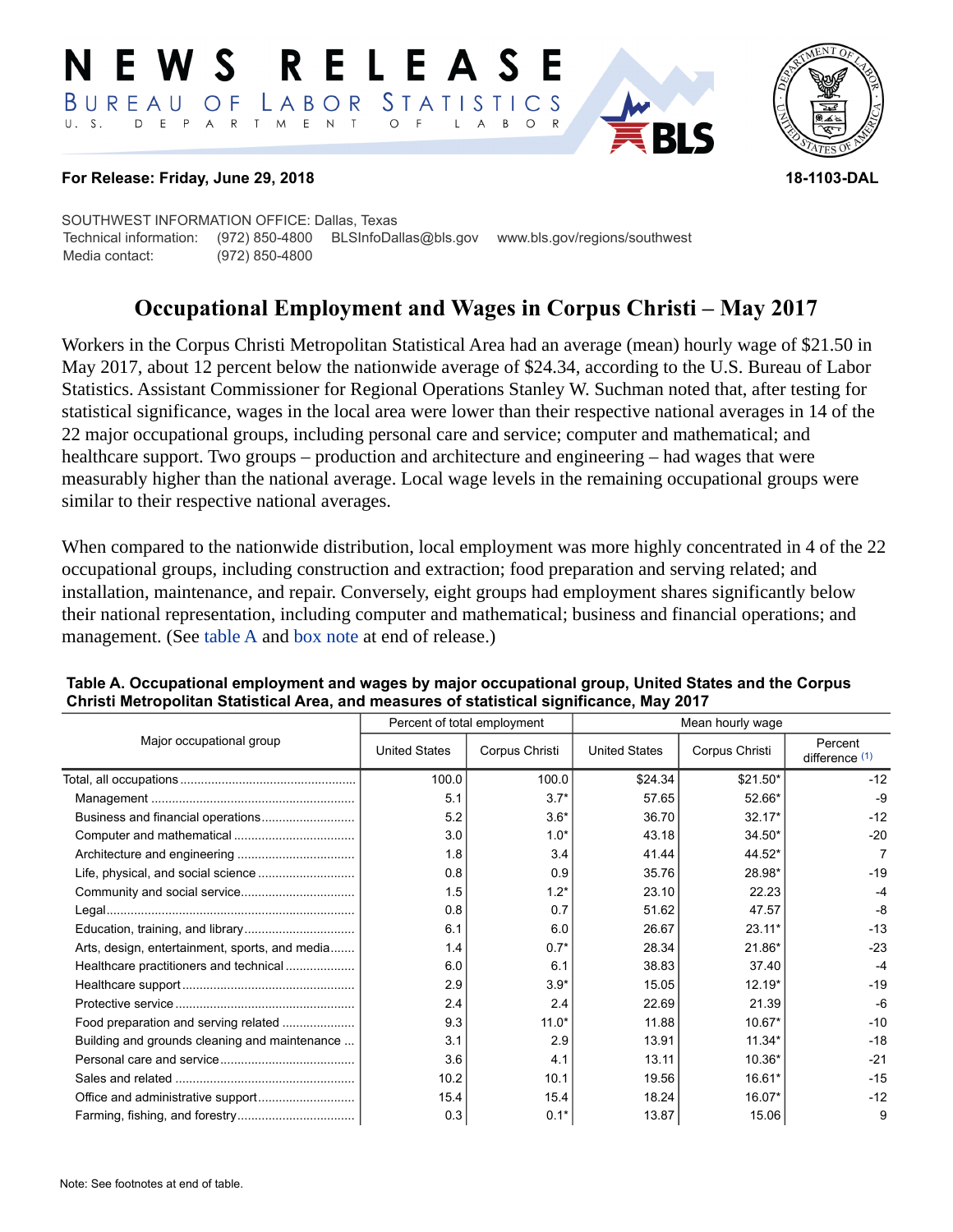#### E W S **RELEAS** LABOR STATISTICS BUREAU OF D E P A R T M E N T  $\circ$  $U. S.$  $F$  $\mathsf{L}$  $\overline{A}$  $B$  $\circ$



### **For Release: Friday, June 29, 2018 18-1103-DAL**

SOUTHWEST INFORMATION OFFICE: Dallas, Texas Technical information: (972) 850-4800 BLSInfoDallas@bls.gov www.bls.gov/regions/southwest Media contact: (972) 850-4800

# **Occupational Employment and Wages in Corpus Christi – May 2017**

Workers in the Corpus Christi Metropolitan Statistical Area had an average (mean) hourly wage of \$21.50 in May 2017, about 12 percent below the nationwide average of \$24.34, according to the U.S. Bureau of Labor Statistics. Assistant Commissioner for Regional Operations Stanley W. Suchman noted that, after testing for statistical significance, wages in the local area were lower than their respective national averages in 14 of the 22 major occupational groups, including personal care and service; computer and mathematical; and healthcare support. Two groups – production and architecture and engineering – had wages that were measurably higher than the national average. Local wage levels in the remaining occupational groups were similar to their respective national averages.

When compared to the nationwide distribution, local employment was more highly concentrated in 4 of the 22 occupational groups, including construction and extraction; food preparation and serving related; and installation, maintenance, and repair. Conversely, eight groups had employment shares significantly below their national representation, including computer and mathematical; business and financial operations; and management. (See table A and [box note](#page-2-0) at end of release.)

|                                                |                      | Percent of total employment | Mean hourly wage     |                |                             |  |
|------------------------------------------------|----------------------|-----------------------------|----------------------|----------------|-----------------------------|--|
| Major occupational group                       | <b>United States</b> | Corpus Christi              | <b>United States</b> | Corpus Christi | Percent<br>difference $(1)$ |  |
|                                                | 100.0                | 100.0                       | \$24.34              | \$21.50*       | $-12$                       |  |
|                                                | 5.1                  | $3.7*$                      | 57.65                | 52.66*         | $-9$                        |  |
|                                                | 5.2                  | $3.6*$                      | 36.70                | $32.17*$       | $-12$                       |  |
|                                                | 3.0                  | $1.0*$                      | 43.18                | 34.50*         | $-20$                       |  |
|                                                | 1.8                  | 3.4                         | 41.44                | 44.52*         | 7                           |  |
|                                                | 0.8                  | 0.9                         | 35.76                | 28.98*         | $-19$                       |  |
|                                                | 1.5                  | $1.2*$                      | 23.10                | 22.23          | $-4$                        |  |
|                                                | 0.8                  | 0.7                         | 51.62                | 47.57          | -8                          |  |
|                                                | 6.1                  | 6.0                         | 26.67                | $23.11*$       | $-13$                       |  |
| Arts, design, entertainment, sports, and media | 1.4                  | $0.7*$                      | 28.34                | 21.86*         | $-23$                       |  |
| Healthcare practitioners and technical         | 6.0                  | 6.1                         | 38.83                | 37.40          | $-4$                        |  |
|                                                | 2.9                  | $3.9*$                      | 15.05                | $12.19*$       | $-19$                       |  |
|                                                | 2.4                  | 2.4                         | 22.69                | 21.39          | $-6$                        |  |
|                                                | 9.3                  | $11.0*$                     | 11.88                | $10.67*$       | $-10$                       |  |
| Building and grounds cleaning and maintenance  | 3.1                  | 2.9                         | 13.91                | $11.34*$       | $-18$                       |  |
|                                                | 3.6                  | 4.1                         | 13.11                | 10.36*         | $-21$                       |  |
|                                                | 10.2                 | 10.1                        | 19.56                | 16.61*         | $-15$                       |  |
|                                                | 15.4                 | 15.4                        | 18.24                | $16.07*$       | $-12$                       |  |
|                                                | 0.3                  | $0.1*$                      | 13.87                | 15.06          | 9                           |  |

#### **Table A. Occupational employment and wages by major occupational group, United States and the Corpus Christi Metropolitan Statistical Area, and measures of statistical significance, May 2017**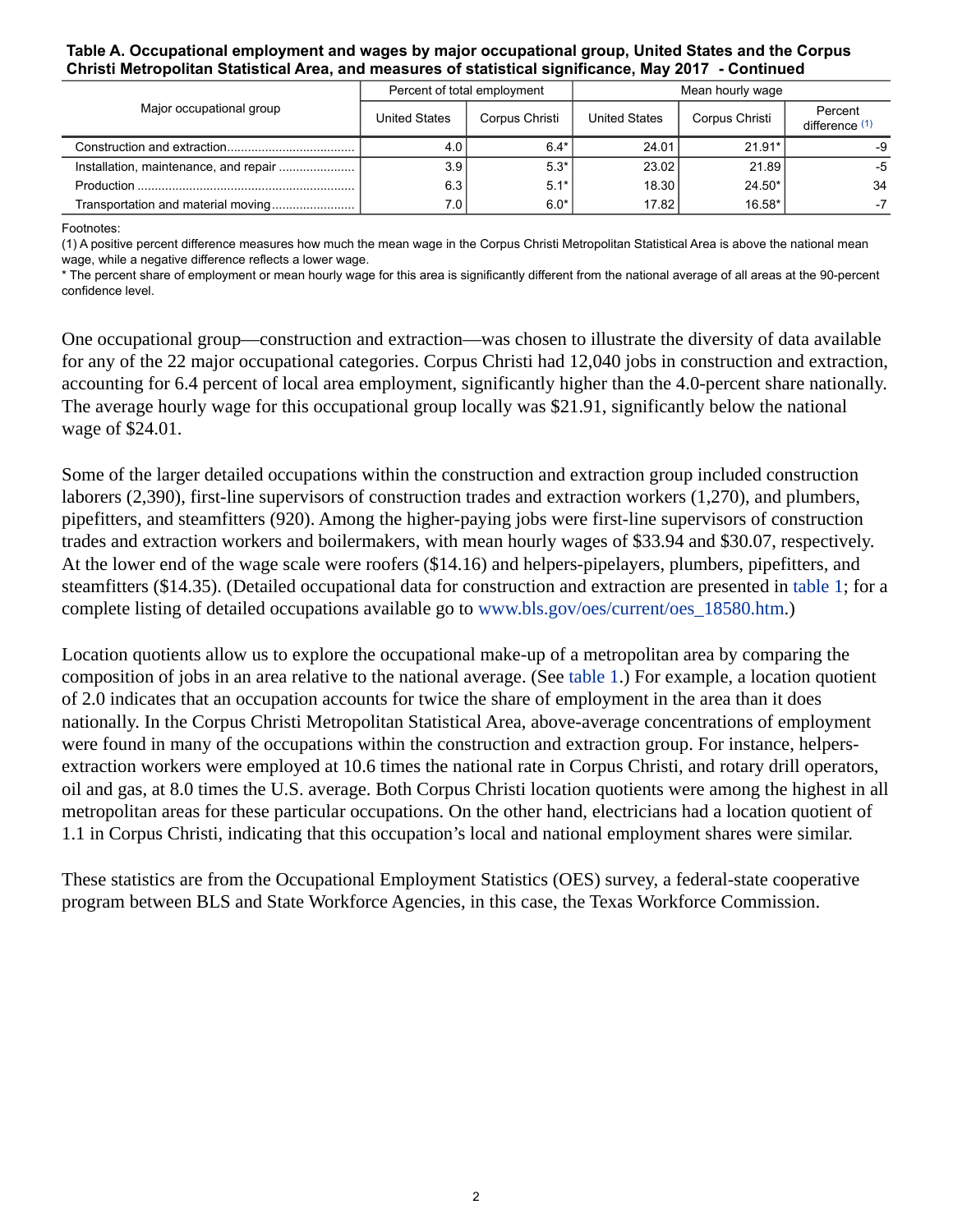#### **Table A. Occupational employment and wages by major occupational group, United States and the Corpus Christi Metropolitan Statistical Area, and measures of statistical significance, May 2017 - Continued**

| Major occupational group           | Percent of total employment |                | Mean hourly wage     |                |                           |
|------------------------------------|-----------------------------|----------------|----------------------|----------------|---------------------------|
|                                    | <b>United States</b>        | Corpus Christi | <b>United States</b> | Corpus Christi | Percent<br>difference (1) |
|                                    | 4.0                         | $6.4*$         | 24.01                | $21.91*$       | -9                        |
|                                    | 3.9                         | $5.3*$         | 23.02                | 21.89          | -5                        |
|                                    | 6.3                         | $5.1*$         | 18.30                | $24.50*$       | 34                        |
| Transportation and material moving | 7.0                         | $6.0*$         | 17.82                | 16.58*         |                           |

<span id="page-1-0"></span>Footnotes:

(1) A positive percent difference measures how much the mean wage in the Corpus Christi Metropolitan Statistical Area is above the national mean wage, while a negative difference reflects a lower wage.

\* The percent share of employment or mean hourly wage for this area is significantly different from the national average of all areas at the 90-percent confidence level.

One occupational group—construction and extraction—was chosen to illustrate the diversity of data available for any of the 22 major occupational categories. Corpus Christi had 12,040 jobs in construction and extraction, accounting for 6.4 percent of local area employment, significantly higher than the 4.0-percent share nationally. The average hourly wage for this occupational group locally was \$21.91, significantly below the national wage of \$24.01.

Some of the larger detailed occupations within the construction and extraction group included construction laborers (2,390), first-line supervisors of construction trades and extraction workers (1,270), and plumbers, pipefitters, and steamfitters (920). Among the higher-paying jobs were first-line supervisors of construction trades and extraction workers and boilermakers, with mean hourly wages of \$33.94 and \$30.07, respectively. At the lower end of the wage scale were roofers (\$14.16) and helpers-pipelayers, plumbers, pipefitters, and steamfitters (\$14.35). (Detailed occupational data for construction and extraction are presented in table 1; for a complete listing of detailed occupations available go to [www.bls.gov/oes/current/oes\\_18580.htm](https://www.bls.gov/oes/current/oes_18580.htm).)

Location quotients allow us to explore the occupational make-up of a metropolitan area by comparing the composition of jobs in an area relative to the national average. (See table 1.) For example, a location quotient of 2.0 indicates that an occupation accounts for twice the share of employment in the area than it does nationally. In the Corpus Christi Metropolitan Statistical Area, above-average concentrations of employment were found in many of the occupations within the construction and extraction group. For instance, helpersextraction workers were employed at 10.6 times the national rate in Corpus Christi, and rotary drill operators, oil and gas, at 8.0 times the U.S. average. Both Corpus Christi location quotients were among the highest in all metropolitan areas for these particular occupations. On the other hand, electricians had a location quotient of 1.1 in Corpus Christi, indicating that this occupation's local and national employment shares were similar.

These statistics are from the Occupational Employment Statistics (OES) survey, a federal-state cooperative program between BLS and State Workforce Agencies, in this case, the Texas Workforce Commission.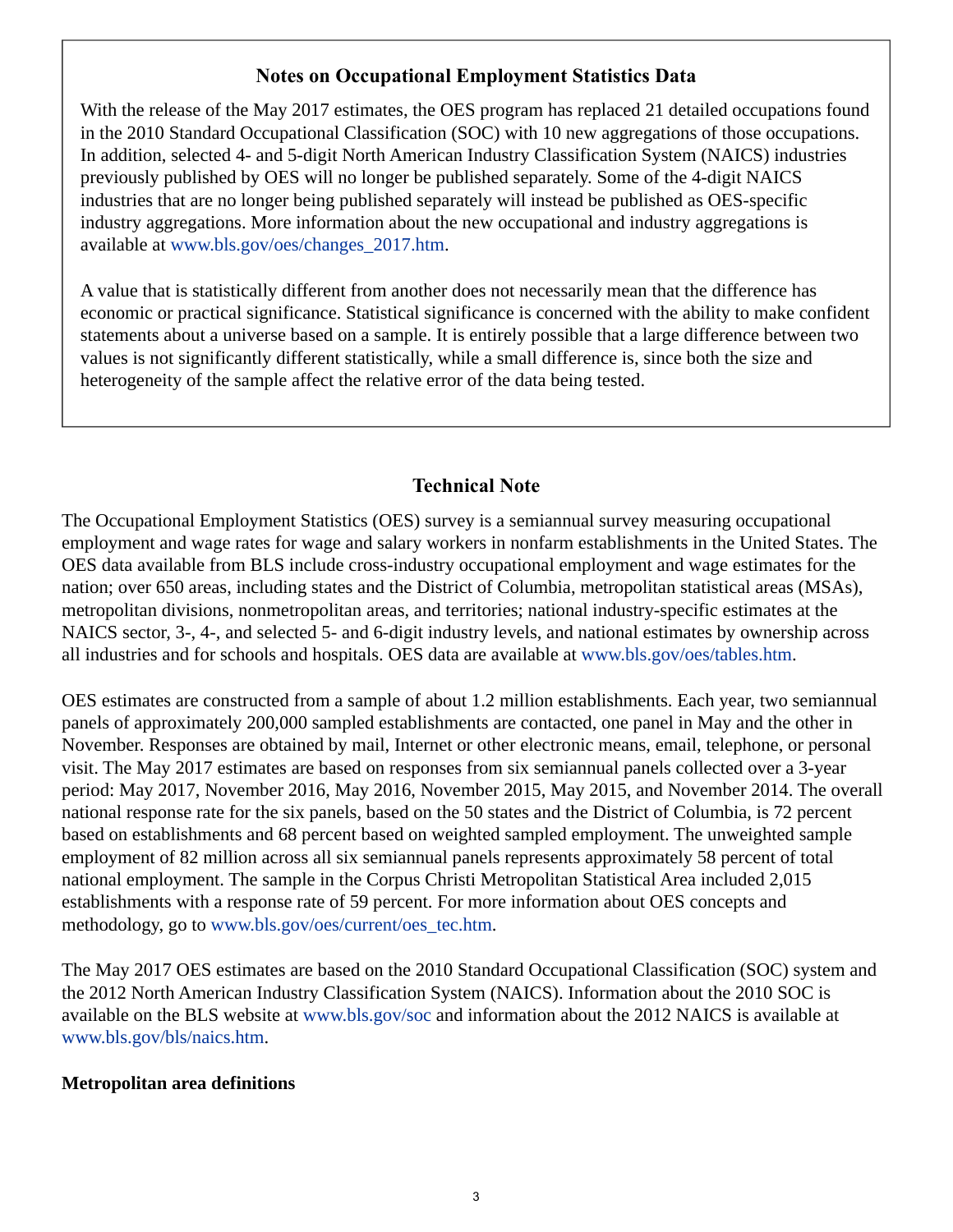## **Notes on Occupational Employment Statistics Data**

<span id="page-2-0"></span>With the release of the May 2017 estimates, the OES program has replaced 21 detailed occupations found in the 2010 Standard Occupational Classification (SOC) with 10 new aggregations of those occupations. In addition, selected 4- and 5-digit North American Industry Classification System (NAICS) industries previously published by OES will no longer be published separately. Some of the 4-digit NAICS industries that are no longer being published separately will instead be published as OES-specific industry aggregations. More information about the new occupational and industry aggregations is available at [www.bls.gov/oes/changes\\_2017.htm.](https://www.bls.gov/oes/changes_2017.htm)

A value that is statistically different from another does not necessarily mean that the difference has economic or practical significance. Statistical significance is concerned with the ability to make confident statements about a universe based on a sample. It is entirely possible that a large difference between two values is not significantly different statistically, while a small difference is, since both the size and heterogeneity of the sample affect the relative error of the data being tested.

## **Technical Note**

The Occupational Employment Statistics (OES) survey is a semiannual survey measuring occupational employment and wage rates for wage and salary workers in nonfarm establishments in the United States. The OES data available from BLS include cross-industry occupational employment and wage estimates for the nation; over 650 areas, including states and the District of Columbia, metropolitan statistical areas (MSAs), metropolitan divisions, nonmetropolitan areas, and territories; national industry-specific estimates at the NAICS sector, 3-, 4-, and selected 5- and 6-digit industry levels, and national estimates by ownership across all industries and for schools and hospitals. OES data are available at [www.bls.gov/oes/tables.htm](https://www.bls.gov/oes/tables.htm).

OES estimates are constructed from a sample of about 1.2 million establishments. Each year, two semiannual panels of approximately 200,000 sampled establishments are contacted, one panel in May and the other in November. Responses are obtained by mail, Internet or other electronic means, email, telephone, or personal visit. The May 2017 estimates are based on responses from six semiannual panels collected over a 3-year period: May 2017, November 2016, May 2016, November 2015, May 2015, and November 2014. The overall national response rate for the six panels, based on the 50 states and the District of Columbia, is 72 percent based on establishments and 68 percent based on weighted sampled employment. The unweighted sample employment of 82 million across all six semiannual panels represents approximately 58 percent of total national employment. The sample in the Corpus Christi Metropolitan Statistical Area included 2,015 establishments with a response rate of 59 percent. For more information about OES concepts and methodology, go to [www.bls.gov/oes/current/oes\\_tec.htm](https://www.bls.gov/oes/current/oes_tec.htm).

The May 2017 OES estimates are based on the 2010 Standard Occupational Classification (SOC) system and the 2012 North American Industry Classification System (NAICS). Information about the 2010 SOC is available on the BLS website at [www.bls.gov/soc](https://www.bls.gov/soc) and information about the 2012 NAICS is available at [www.bls.gov/bls/naics.htm.](https://www.bls.gov/bls/naics.htm)

## **Metropolitan area definitions**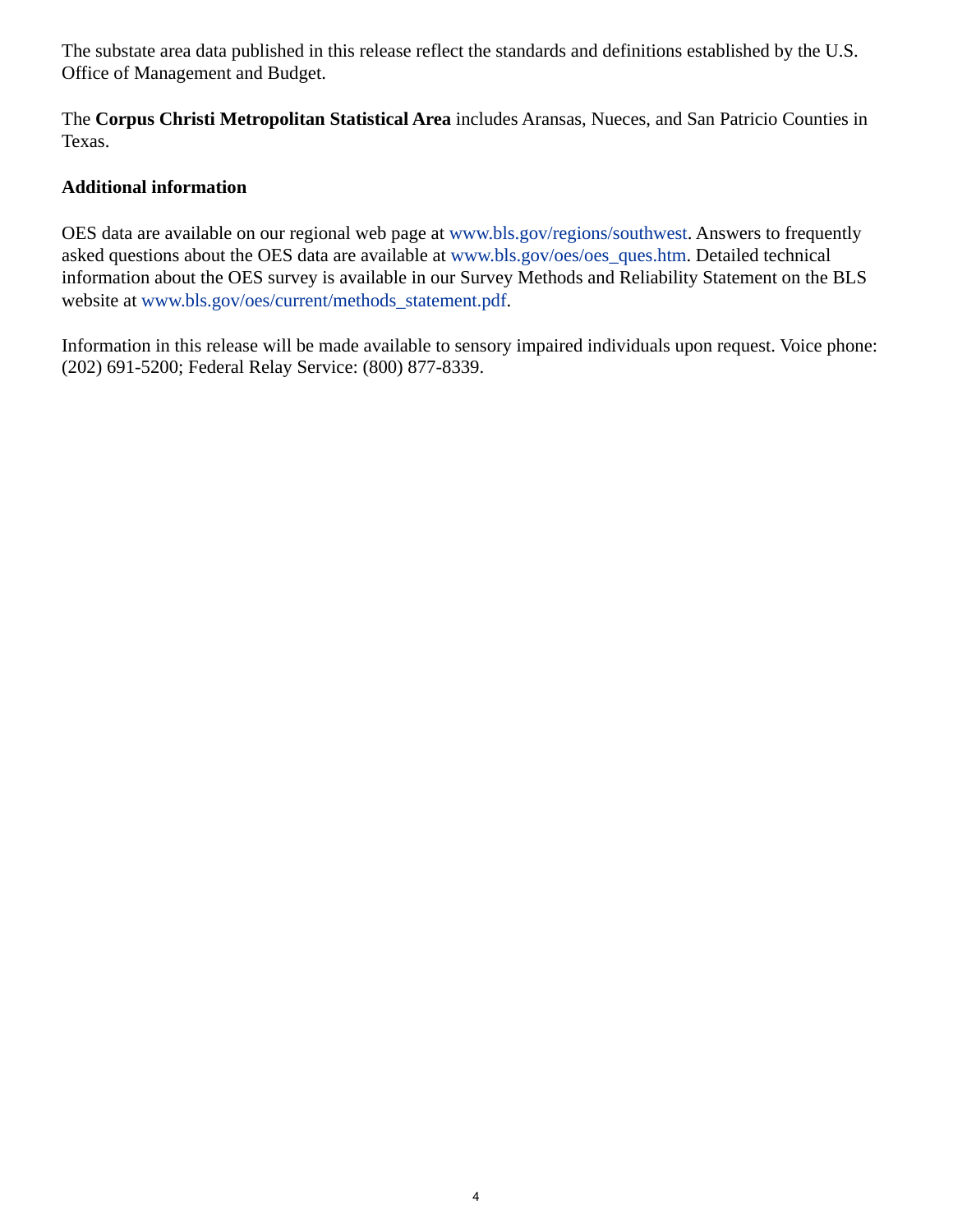The substate area data published in this release reflect the standards and definitions established by the U.S. Office of Management and Budget.

The **Corpus Christi Metropolitan Statistical Area** includes Aransas, Nueces, and San Patricio Counties in Texas.

## **Additional information**

OES data are available on our regional web page at [www.bls.gov/regions/southwest.](https://www.bls.gov/regions/southwest) Answers to frequently asked questions about the OES data are available at [www.bls.gov/oes/oes\\_ques.htm](https://www.bls.gov/oes/oes_ques.htm). Detailed technical information about the OES survey is available in our Survey Methods and Reliability Statement on the BLS website at [www.bls.gov/oes/current/methods\\_statement.pdf.](https://www.bls.gov/oes/current/methods_statement.pdf)

Information in this release will be made available to sensory impaired individuals upon request. Voice phone: (202) 691-5200; Federal Relay Service: (800) 877-8339.